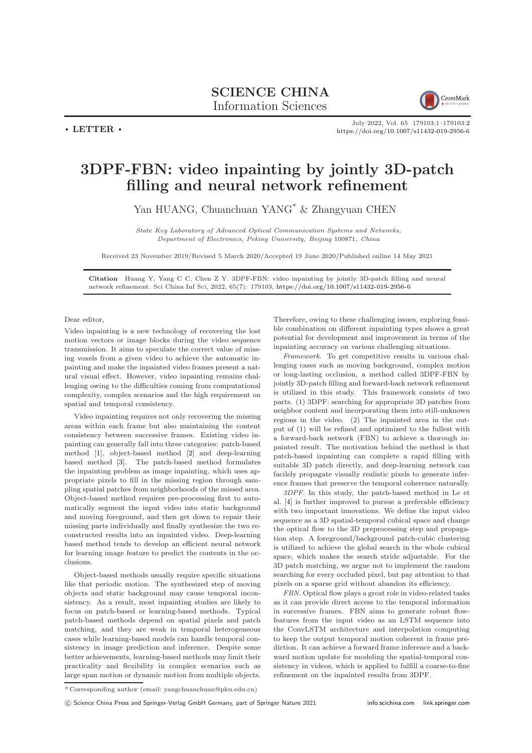## SCIENCE CHINA Information Sciences



 $\cdot$  LETTER  $\cdot$ 

July 2022, Vol. 65 179103:1–179103[:2](#page-1-0) <https://doi.org/10.1007/s11432-019-2956-6>

## 3DPF-FBN: video inpainting by jointly 3D-patch filling and neural network refinement

Yan HUANG, Chuanchuan YANG\* & Zhangyuan CHEN

State Key Laboratory of Advanced Optical Communication Systems and Networks, Department of Electronics, Peking University, Beijing 100871, China

Received 23 November 2019/Revised 5 March 2020/Accepted 19 June 2020/Published online 14 May 2021

Citation Huang Y, Yang C C, Chen Z Y. 3DPF-FBN: video inpainting by jointly 3D-patch filling and neural network refinement. Sci China Inf Sci, 2022, 65(7): 179103, <https://doi.org/10.1007/s11432-019-2956-6>

## Dear editor,

Video inpainting is a new technology of recovering the lost motion vectors or image blocks during the video sequence transmission. It aims to speculate the correct value of missing voxels from a given video to achieve the automatic inpainting and make the inpainted video frames present a natural visual effect. However, video inpainting remains challenging owing to the difficulties coming from computational complexity, complex scenarios and the high requirement on spatial and temporal consistency.

Video inpainting requires not only recovering the missing areas within each frame but also maintaining the content consistency between successive frames. Existing video inpainting can generally fall into three categories: patch-based method [\[1\]](#page-1-1), object-based method [\[2\]](#page-1-2) and deep-learning based method [\[3\]](#page-1-3). The patch-based method formulates the inpainting problem as image inpainting, which uses appropriate pixels to fill in the missing region through sampling spatial patches from neighborhoods of the missed area. Object-based method requires pre-processing first to automatically segment the input video into static background and moving foreground, and then get down to repair their missing parts individually and finally synthesize the two reconstructed results into an inpainted video. Deep-learning based method tends to develop an efficient neural network for learning image feature to predict the contents in the occlusions.

Object-based methods usually require specific situations like that periodic motion. The synthesized step of moving objects and static background may cause temporal inconsistency. As a result, most inpainting studies are likely to focus on patch-based or learning-based methods. Typical patch-based methods depend on spatial pixels and patch matching, and they are weak in temporal heterogeneous cases while learning-based models can handle temporal consistency in image prediction and inference. Despite some better achievements, learning-based methods may limit their practicality and flexibility in complex scenarios such as large span motion or dynamic motion from multiple objects.

Therefore, owing to these challenging issues, exploring feasible combination on different inpainting types shows a great potential for development and improvement in terms of the inpainting accuracy on various challenging situations.

Framework. To get competitive results in various challenging cases such as moving background, complex motion or long-lasting occlusion, a method called 3DPF-FBN by jointly 3D-patch filling and forward-back network refinement is utilized in this study. This framework consists of two parts. (1) 3DPF: searching for appropriate 3D patches from neighbor content and incorporating them into still-unknown regions in the video. (2) The inpainted area in the output of (1) will be refined and optimized to the fullest with a forward-back network (FBN) to achieve a thorough inpainted result. The motivation behind the method is that patch-based inpainting can complete a rapid filling with suitable 3D patch directly, and deep-learning network can facilely propagate visually realistic pixels to generate inference frames that preserve the temporal coherence naturally.

3DPF. In this study, the patch-based method in Le et al. [\[4\]](#page-1-4) is further improved to pursue a preferable efficiency with two important innovations. We define the input video sequence as a 3D spatial-temporal cubical space and change the optical flow to the 3D preprocessing step and propagation step. A foreground/background patch-cubic clustering is utilized to achieve the global search in the whole cubical space, which makes the search stride adjustable. For the 3D patch matching, we argue not to implement the random searching for every occluded pixel, but pay attention to that pixels on a sparse grid without abandon its efficiency.

FBN. Optical flow plays a great role in video-related tasks as it can provide direct access to the temporal information in successive frames. FBN aims to generate robust flowfeatures from the input video as an LSTM sequence into the ConvLSTM architecture and interpolation computing to keep the output temporal motion coherent in frame prediction. It can achieve a forward frame inference and a backward motion update for modeling the spatial-temporal consistency in videos, which is applied to fulfill a coarse-to-fine refinement on the inpainted results from 3DPF.

c Science China Press and Springer-Verlag GmbH Germany, part of Springer Nature 2021 <info.scichina.com><link.springer.com>

<sup>\*</sup> Corresponding author (email: yangchuanchuan@pku.edu.cn)